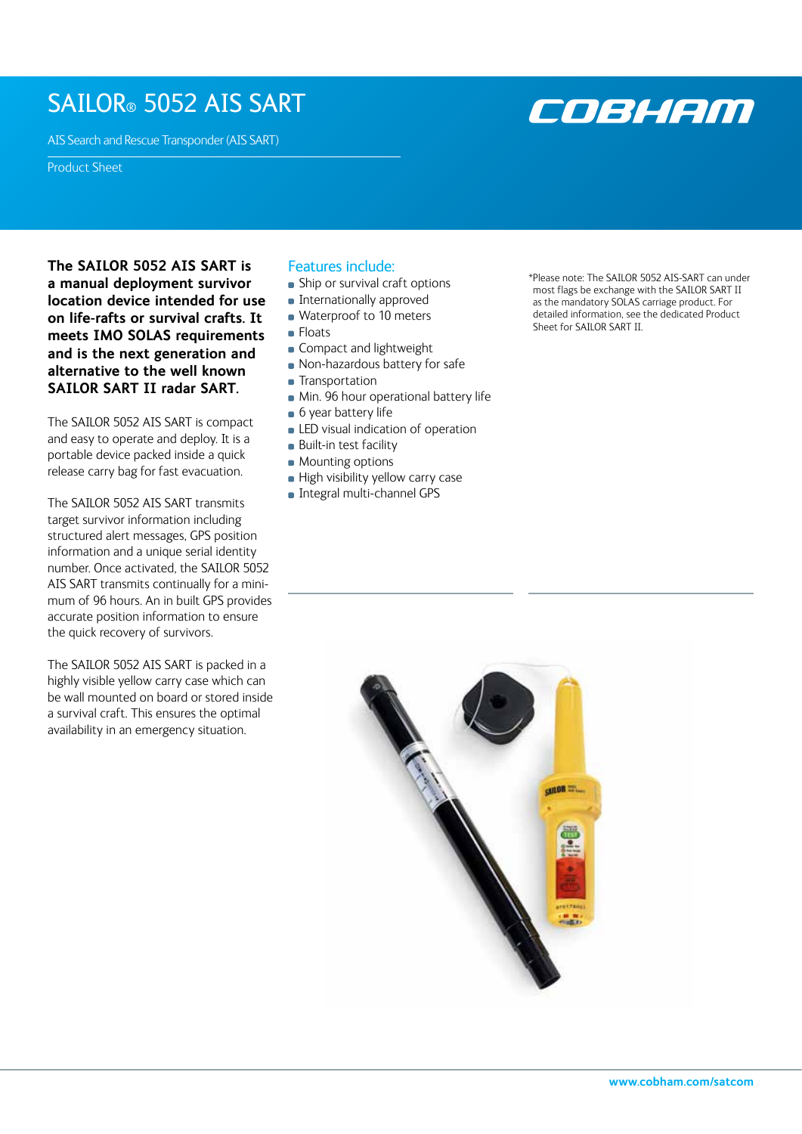## SAILOR® 5052 AIS SART

AIS Search and Rescue Transponder (AIS SART)

Product Sheet

**The SAILOR 5052 AIS SART is a manual deployment survivor location device intended for use on life-rafts or survival crafts. It meets IMO SOLAS requirements and is the next generation and alternative to the well known SAILOR SART II radar SART.** 

The SAILOR 5052 AIS SART is compact and easy to operate and deploy. It is a portable device packed inside a quick release carry bag for fast evacuation.

The SAILOR 5052 AIS SART transmits target survivor information including structured alert messages, GPS position information and a unique serial identity number. Once activated, the SAILOR 5052 AIS SART transmits continually for a minimum of 96 hours. An in built GPS provides accurate position information to ensure the quick recovery of survivors.

The SAILOR 5052 AIS SART is packed in a highly visible yellow carry case which can be wall mounted on board or stored inside a survival craft. This ensures the optimal availability in an emergency situation.

## Features include:

- **Ship or survival craft options**
- **Internationally approved**
- **Waterproof to 10 meters**
- **Floats**
- Compact and lightweight
- **Non-hazardous battery for safe**
- **Transportation**
- **Min. 96 hour operational battery life**
- 6 year battery life
- **LED** visual indication of operation
- **Built-in test facility**
- **Mounting options**
- High visibility yellow carry case
- **Integral multi-channel GPS**

\*Please note: The SAILOR 5052 AIS-SART can under most flags be exchange with the SAILOR SART II as the mandatory SOLAS carriage product. For detailed information, see the dedicated Product Sheet for SAILOR SART II.

COBHAM